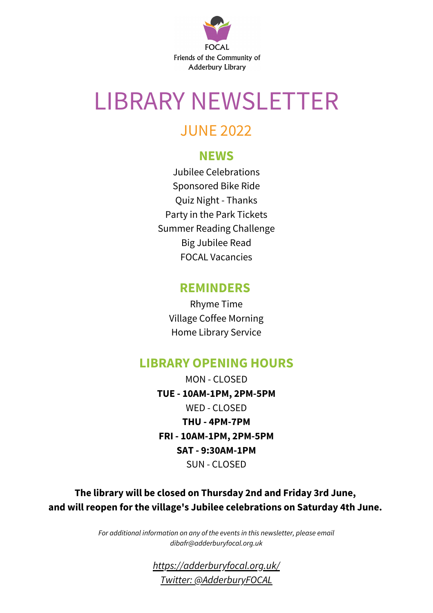

## LIBRARY NEWSLETTER

#### JUNE 2022

#### **NEWS**

Jubilee Celebrations Sponsored Bike Ride Quiz Night - Thanks Party in the Park Tickets Summer Reading Challenge Big Jubilee Read FOCAL Vacancies

#### **REMINDERS**

Rhyme Time Village Coffee Morning Home Library Service

#### **LIBRARY OPENING HOURS**

MON - CLOSED **TUE - 10AM-1PM, 2PM-5PM** WED - CLOSED **THU - 4PM-7PM FRI - 10AM-1PM, 2PM-5PM SAT - 9:30AM-1PM** SUN - CLOSED

**The library will be closed on Thursday 2nd and Friday 3rd June, and will reopen for the village's Jubilee celebrations on Saturday 4th June.**

> *For additional information on any of the events in this newsletter, please email dibafr@adderburyfocal.org.uk*

> > *[https://adderburyfocal.org.uk/](https://www.adderburyfocal.org.uk/) Twitter: [@AdderburyFOCAL](https://twitter.com/adderburyfocal)*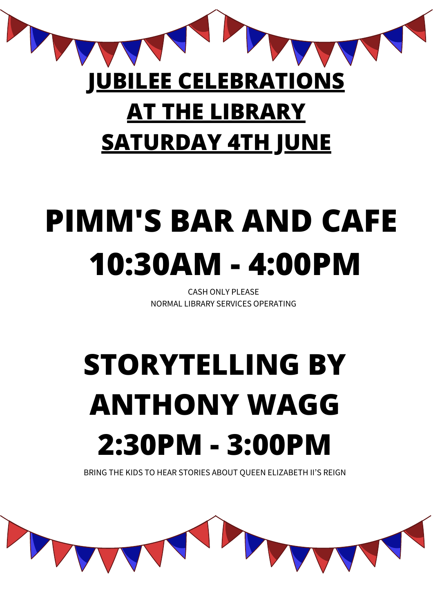## **JUBILEE CELEBRATIONS AT THE LIBRARY SATURDAY 4TH JUNE**

# **PIMM'S BAR AND CAFE 10:30AM - 4:00PM**

CASH ONLY PLEASE NORMAL LIBRARY SERVICES OPERATING

# **STORYTELLING BY ANTHONY WAGG 2:30PM - 3:00PM**

BRING THE KIDS TO HEAR STORIES ABOUT QUEEN ELIZABETH II'S REIGN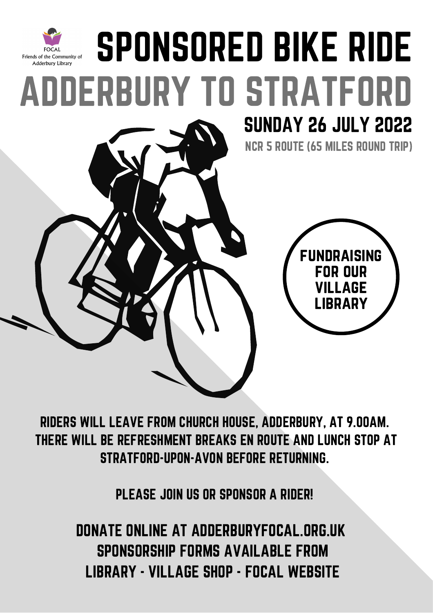

RIDERS WILL LEAVE FROM CHURCH HOUSE, ADDERBURY, AT 9.00AM. THERE WILL BE REFRESHMENT BREAKS EN ROUTE AND LUNCH STOP AT STRATFORD-UPON-AVON BEFORE RETURNING.

PLEASE JOIN US OR SPONSOR A RIDER!

DONATE ONLINE AT ADDERBURYFOCAL.ORG.UK SPONSORSHIP FORMS AVAILABLE FROM LIBRARY - VILLAGE SHOP - FOCAL WEBSITE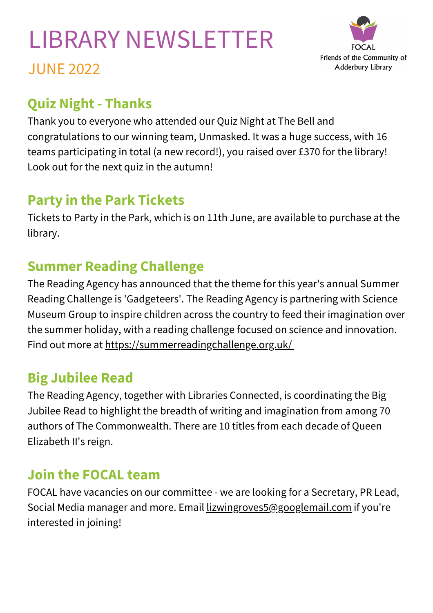### LIBRARY NEWSLETTER JUNE 2022



#### **Quiz Night - Thanks**

Thank you to everyone who attended our Quiz Night at The Bell and congratulations to our winning team, Unmasked. It was a huge success, with 16 teams participating in total (a new record!), you raised over £370 for the library! Look out for the next quiz in the autumn!

#### **Party in the Park Tickets**

Tickets to Party in the Park, which is on 11th June, are available to purchase at the library.

#### **Summer Reading Challenge**

The Reading Agency has announced that the theme for this year's annual Summer Reading Challenge is 'Gadgeteers'. The Reading Agency is partnering with Science Museum Group to inspire children across the country to feed their imagination over the summer holiday, with a reading challenge focused on science and innovation. Find out more at <https://summerreadingchallenge.org.uk/>

#### **Big Jubilee Read**

The Reading Agency, together with Libraries Connected, is coordinating the Big Jubilee Read to highlight the breadth of writing and imagination from among 70 authors of The Commonwealth. There are 10 titles from each decade of Queen Elizabeth II's reign.

#### **Join the FOCAL team**

FOCAL have vacancies on our committee - we are looking for a Secretary, PR Lead, Social Media manager and more. Email [lizwingroves5@googlemail.com](mailto:lizwingroves5@googlemail.com) if you're interested in joining!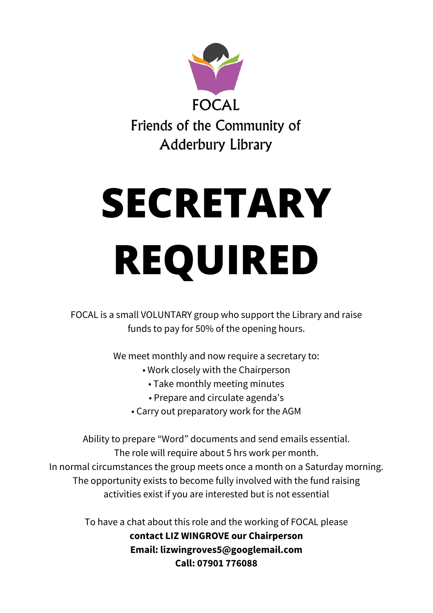

# **SECRETARY REQUIRED**

FOCAL is a small VOLUNTARY group who support the Library and raise funds to pay for 50% of the opening hours.

We meet monthly and now require a secretary to:

- Work closely with the Chairperson
	- Take monthly meeting minutes
	- Prepare and circulate agenda's
- Carry out preparatory work for the AGM

Ability to prepare "Word" documents and send emails essential. The role will require about 5 hrs work per month. In normal circumstances the group meets once a month on a Saturday morning. The opportunity exists to become fully involved with the fund raising activities exist if you are interested but is not essential

> To have a chat about this role and the working of FOCAL please **contact LIZ WINGROVE our Chairperson Email: lizwingroves5@googlemail.com Call: 07901 776088**